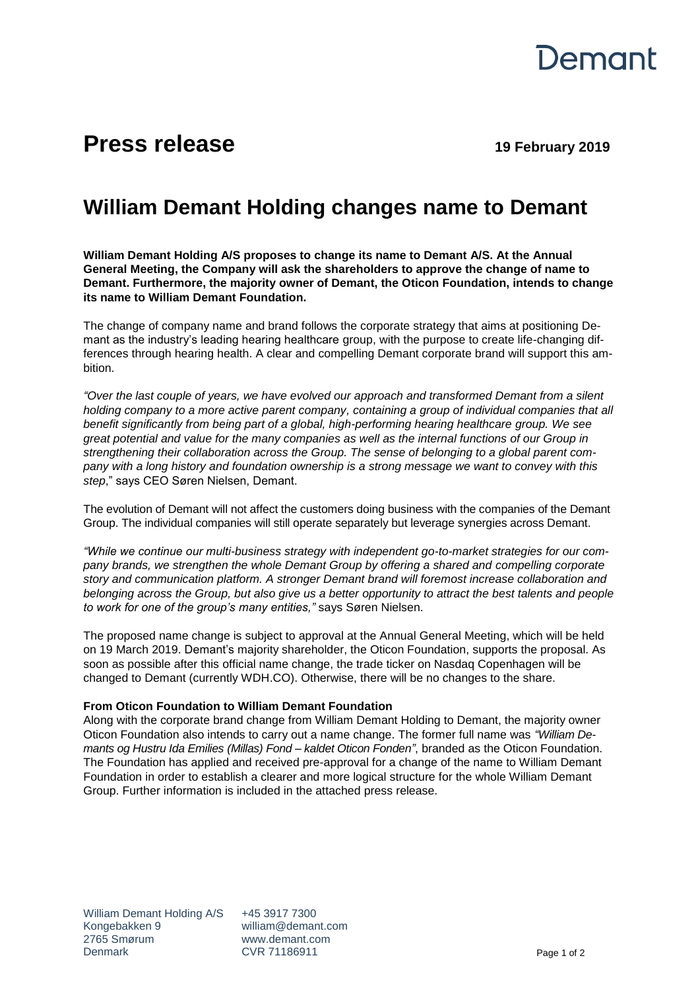

## **Press release 19 February 2019**

## **William Demant Holding changes name to Demant**

**William Demant Holding A/S proposes to change its name to Demant A/S. At the Annual General Meeting, the Company will ask the shareholders to approve the change of name to Demant. Furthermore, the majority owner of Demant, the Oticon Foundation, intends to change its name to William Demant Foundation.**

The change of company name and brand follows the corporate strategy that aims at positioning Demant as the industry's leading hearing healthcare group, with the purpose to create life-changing differences through hearing health. A clear and compelling Demant corporate brand will support this ambition.

*"Over the last couple of years, we have evolved our approach and transformed Demant from a silent holding company to a more active parent company, containing a group of individual companies that all benefit significantly from being part of a global, high-performing hearing healthcare group. We see great potential and value for the many companies as well as the internal functions of our Group in strengthening their collaboration across the Group. The sense of belonging to a global parent company with a long history and foundation ownership is a strong message we want to convey with this step*," says CEO Søren Nielsen, Demant.

The evolution of Demant will not affect the customers doing business with the companies of the Demant Group. The individual companies will still operate separately but leverage synergies across Demant.

*"While we continue our multi-business strategy with independent go-to-market strategies for our company brands, we strengthen the whole Demant Group by offering a shared and compelling corporate story and communication platform. A stronger Demant brand will foremost increase collaboration and belonging across the Group, but also give us a better opportunity to attract the best talents and people to work for one of the group's many entities,"* says Søren Nielsen.

The proposed name change is subject to approval at the Annual General Meeting, which will be held on 19 March 2019. Demant's majority shareholder, the Oticon Foundation, supports the proposal. As soon as possible after this official name change, the trade ticker on Nasdaq Copenhagen will be changed to Demant (currently WDH.CO). Otherwise, there will be no changes to the share.

## **From Oticon Foundation to William Demant Foundation**

Along with the corporate brand change from William Demant Holding to Demant, the majority owner Oticon Foundation also intends to carry out a name change. The former full name was *"William Demants og Hustru Ida Emilies (Millas) Fond – kaldet Oticon Fonden"*, branded as the Oticon Foundation. The Foundation has applied and received pre-approval for a change of the name to William Demant Foundation in order to establish a clearer and more logical structure for the whole William Demant Group. Further information is included in the attached press release.

+45 3917 7300 william@demant.com www.demant.com CVR 71186911 Page 1 of 2